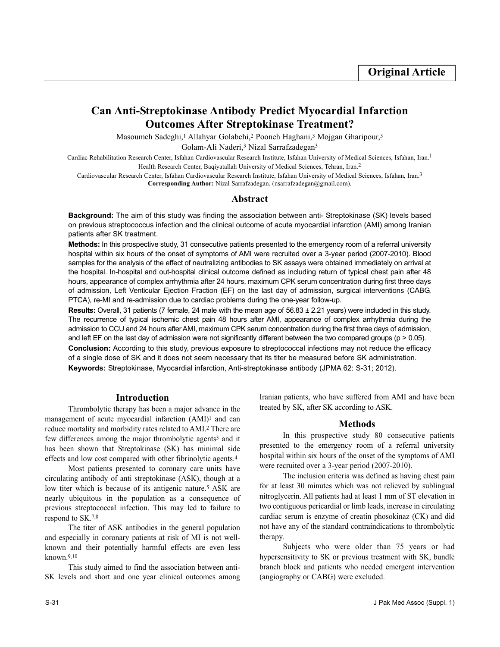# **Can Anti-Streptokinase Antibody Predict Myocardial Infarction Outcomes After Streptokinase Treatment?**

Masoumeh Sadeghi,<sup>1</sup> Allahyar Golabchi,<sup>2</sup> Pooneh Haghani,<sup>3</sup> Mojgan Gharipour,<sup>3</sup>

Golam-Ali Naderi,<sup>3</sup> Nizal Sarrafzadegan<sup>3</sup>

Cardiac Rehabilitation Research Center, Isfahan Cardiovascular Research Institute, Isfahan University of Medical Sciences, Isfahan, Iran.1 Health Research Center, Baqiyatallah University of Medical Sciences, Tehran, Iran.2

Cardiovascular Research Center, Isfahan Cardiovascular Research Institute, Isfahan University of Medical Sciences, Isfahan, Iran.3 **Corresponding Author:** Nizal Sarrafzadegan. (nsarrafzadegan@gmail.com).

## **Abstract**

**Background:** The aim of this study was finding the association between anti- Streptokinase (SK) levels based on previous streptococcus infection and the clinical outcome of acute myocardial infarction (AMI) among Iranian patients after SK treatment.

**Methods:** In this prospective study, 31 consecutive patients presented to the emergency room of a referral university hospital within six hours of the onset of symptoms of AMI were recruited over a 3-year period (2007-2010). Blood samples for the analysis of the effect of neutralizing antibodies to SK assays were obtained immediately on arrival at the hospital. In-hospital and out-hospital clinical outcome defined as including return of typical chest pain after 48 hours, appearance of complex arrhythmia after 24 hours, maximum CPK serum concentration during first three days of admission, Left Venticular Ejection Fraction (EF) on the last day of admission, surgical interventions (CABG, PTCA), re-MI and re-admission due to cardiac problems during the one-year follow-up.

**Results:** Overall, 31 patients (7 female, 24 male with the mean age of 56.83 ± 2.21 years) were included in this study. The recurrence of typical ischemic chest pain 48 hours after AMI, appearance of complex arrhythmia during the admission to CCU and 24 hours after AMI, maximum CPK serum concentration during the first three days of admission, and left EF on the last day of admission were not significantly different between the two compared groups ( $p > 0.05$ ). **Conclusion:** According to this study, previous exposure to streptococcal infections may not reduce the efficacy of a single dose of SK and it does not seem necessary that its titer be measured before SK administration. **Keywords:** Streptokinase, Myocardial infarction, Anti-streptokinase antibody (JPMA 62: S-31; 2012).

# **Introduction**

Thrombolytic therapy has been a major advance in the management of acute myocardial infarction (AMI)<sup>1</sup> and can reduce mortality and morbidity rates related to AMI.<sup>2</sup> There are few differences among the major thrombolytic agents<sup>3</sup> and it has been shown that Streptokinase (SK) has minimal side effects and low cost compared with other fibrinolytic agents.<sup>4</sup>

Most patients presented to coronary care units have circulating antibody of anti streptokinase (ASK), though at a low titer which is because of its antigenic nature.<sup>5</sup> ASK are nearly ubiquitous in the population as a consequence of previous streptococcal infection. This may led to failure to respond to SK.7,8

The titer of ASK antibodies in the general population and especially in coronary patients at risk of MI is not wellknown and their potentially harmful effects are even less known.9,10

This study aimed to find the association between anti-SK levels and short and one year clinical outcomes among Iranian patients, who have suffered from AMI and have been treated by SK, after SK according to ASK.

## **Methods**

In this prospective study 80 consecutive patients presented to the emergency room of a referral university hospital within six hours of the onset of the symptoms of AMI were recruited over a 3-year period (2007-2010).

The inclusion criteria was defined as having chest pain for at least 30 minutes which was not relieved by sublingual nitroglycerin. All patients had at least 1 mm of ST elevation in two contiguous pericardial or limb leads, increase in circulating cardiac serum is enzyme of creatin phosokinaz (CK) and did not have any of the standard contraindications to thrombolytic therapy.

Subjects who were older than 75 years or had hypersensitivity to SK or previous treatment with SK, bundle branch block and patients who needed emergent intervention (angiography or CABG) were excluded.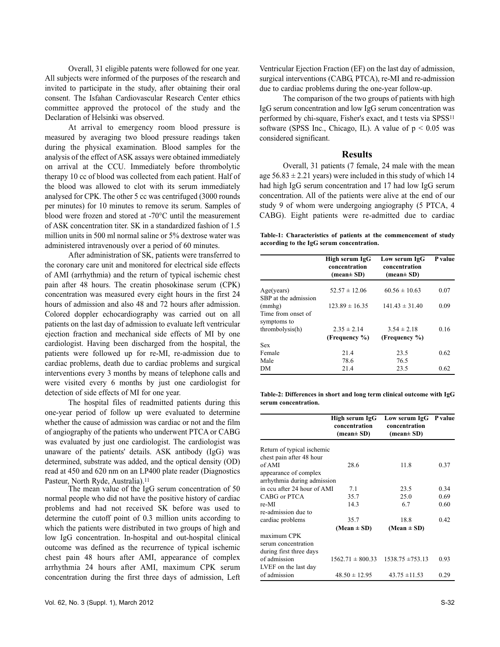Overall, 31 eligible patents were followed for one year. All subjects were informed of the purposes of the research and invited to participate in the study, after obtaining their oral consent. The Isfahan Cardiovascular Research Center ethics committee approved the protocol of the study and the Declaration of Helsinki was observed.

At arrival to emergency room blood pressure is measured by averaging two blood pressure readings taken during the physical examination. Blood samples for the analysis of the effect of ASK assays were obtained immediately on arrival at the CCU. Immediately before thrombolytic therapy 10 cc of blood was collected from each patient. Half of the blood was allowed to clot with its serum immediately analysed for CPK. The other 5 cc was centrifuged (3000 rounds per minutes) for 10 minutes to remove its serum. Samples of blood were frozen and stored at -70°C until the measurement of ASK concentration titer. SK in a standardized fashion of 1.5 million units in 500 ml normal saline or 5% dextrose water was administered intravenously over a period of 60 minutes.

After administration of SK, patients were transferred to the coronary care unit and monitored for electrical side effects of AMI (arrhythmia) and the return of typical ischemic chest pain after 48 hours. The creatin phosokinase serum (CPK) concentration was measured every eight hours in the first 24 hours of admission and also 48 and 72 hours after admission. Colored doppler echocardiography was carried out on all patients on the last day of admission to evaluate left ventricular ejection fraction and mechanical side effects of MI by one cardiologist. Having been discharged from the hospital, the patients were followed up for re-MI, re-admission due to cardiac problems, death due to cardiac problems and surgical interventions every 3 months by means of telephone calls and were visited every 6 months by just one cardiologist for detection of side effects of MI for one year.

The hospital files of readmitted patients during this one-year period of follow up were evaluated to determine whether the cause of admission was cardiac or not and the film of angiography of the patients who underwent PTCA or CABG was evaluated by just one cardiologist. The cardiologist was unaware of the patients' details. ASK antibody (IgG) was determined, substrate was added, and the optical density (OD) read at 450 and 620 nm on an LP400 plate reader (Diagnostics Pasteur, North Ryde, Australia).<sup>11</sup>

The mean value of the IgG serum concentration of 50 normal people who did not have the positive history of cardiac problems and had not received SK before was used to determine the cutoff point of 0.3 million units according to which the patients were distributed in two groups of high and low IgG concentration. In-hospital and out-hospital clinical outcome was defined as the recurrence of typical ischemic chest pain 48 hours after AMI, appearance of complex arrhythmia 24 hours after AMI, maximum CPK serum concentration during the first three days of admission, Left

Ventricular Ejection Fraction (EF) on the last day of admission, surgical interventions (CABG, PTCA), re-MI and re-admission due to cardiac problems during the one-year follow-up.

The comparison of the two groups of patients with high IgG serum concentration and low IgG serum concentration was performed by chi-square, Fisher's exact, and t tests via SPSS<sup>11</sup> software (SPSS Inc., Chicago, IL). A value of  $p < 0.05$  was considered significant.

#### **Results**

Overall, 31 patients (7 female, 24 male with the mean age  $56.83 \pm 2.21$  years) were included in this study of which 14 had high IgG serum concentration and 17 had low IgG serum concentration. All of the patients were alive at the end of our study 9 of whom were undergoing angiography (5 PTCA, 4 CABG). Eight patients were re-admitted due to cardiac

**Table-1: Characteristics of patients at the commencement of study according to the IgG serum concentration.**

|                      | High serum IgG<br>concentration<br>$(\text{mean} \pm \text{SD})$ | Low serum IgG<br>concentration<br>$(\text{mean} \pm \text{SD})$ | P value |
|----------------------|------------------------------------------------------------------|-----------------------------------------------------------------|---------|
| Age(years)           | $52.57 \pm 12.06$                                                | $60.56 \pm 10.63$                                               | 0.07    |
| SBP at the admission |                                                                  |                                                                 |         |
| (mmhg)               | $123.89 \pm 16.35$                                               | $141.43 \pm 31.40$                                              | 0.09    |
| Time from onset of   |                                                                  |                                                                 |         |
| symptoms to          |                                                                  |                                                                 |         |
| thrombolysis(h)      | $2.35 \pm 2.14$                                                  | $3.54 \pm 2.18$                                                 | 0.16    |
|                      | (Frequency %)                                                    | (Frequency %)                                                   |         |
| Sex                  |                                                                  |                                                                 |         |
| Female               | 21.4                                                             | 23.5                                                            | 0.62    |
| Male                 | 78.6                                                             | 76.5                                                            |         |
| DМ                   | 21.4                                                             | 23.5                                                            | 0.62    |

**Table-2: Differences in short and long term clinical outcome with IgG serum concentration.**

|                             | High serum IgG<br>concentration<br>$(\text{mean} \pm \text{SD})$ | Low serum IgG P value<br>concentration<br>$(\text{mean} \pm \text{SD})$ |      |
|-----------------------------|------------------------------------------------------------------|-------------------------------------------------------------------------|------|
| Return of typical ischemic  |                                                                  |                                                                         |      |
| chest pain after 48 hour    |                                                                  |                                                                         |      |
| of AMI                      | 28.6                                                             | 11.8                                                                    | 0.37 |
| appearance of complex       |                                                                  |                                                                         |      |
| arrhythmia during admission |                                                                  |                                                                         |      |
| in ccu after 24 hour of AMI | 7.1                                                              | 23.5                                                                    | 0.34 |
| CABG or PTCA                | 35.7                                                             | 25.0                                                                    | 0.69 |
| re-MI                       | 14.3                                                             | 6.7                                                                     | 0.60 |
| re-admission due to         |                                                                  |                                                                         |      |
| cardiac problems            | 35.7                                                             | 18.8                                                                    | 0.42 |
|                             | $(Mean \pm SD)$                                                  | $(Mean \pm SD)$                                                         |      |
| maximum CPK                 |                                                                  |                                                                         |      |
| serum concentration         |                                                                  |                                                                         |      |
| during first three days     |                                                                  |                                                                         |      |
| of admission                | $1562.71 \pm 800.33$                                             | $1538.75 \pm 753.13$                                                    | 0.93 |
| LVEF on the last day        |                                                                  |                                                                         |      |
| of admission                | $48.50 \pm 12.95$                                                | $43.75 \pm 11.53$                                                       | 0.29 |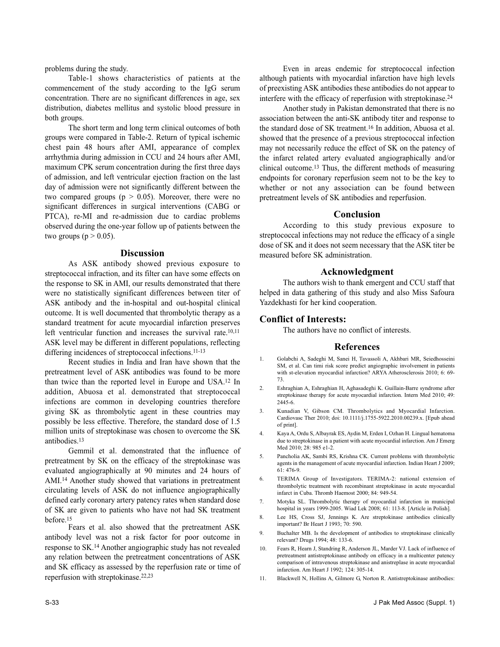problems during the study.

Table-1 shows characteristics of patients at the commencement of the study according to the IgG serum concentration. There are no significant differences in age, sex distribution, diabetes mellitus and systolic blood pressure in both groups.

The short term and long term clinical outcomes of both groups were compared in Table-2. Return of typical ischemic chest pain 48 hours after AMI, appearance of complex arrhythmia during admission in CCU and 24 hours after AMI, maximum CPK serum concentration during the first three days of admission, and left ventricular ejection fraction on the last day of admission were not significantly different between the two compared groups ( $p > 0.05$ ). Moreover, there were no significant differences in surgical interventions (CABG or PTCA), re-MI and re-admission due to cardiac problems observed during the one-year follow up of patients between the two groups ( $p > 0.05$ ).

#### **Discussion**

As ASK antibody showed previous exposure to streptococcal infraction, and its filter can have some effects on the response to SK in AMI, our results demonstrated that there were no statistically significant differences between titer of ASK antibody and the in-hospital and out-hospital clinical outcome. It is well documented that thrombolytic therapy as a standard treatment for acute myocardial infarction preserves left ventricular function and increases the survival rate.<sup>10,11</sup> ASK level may be different in different populations, reflecting differing incidences of streptococcal infections.<sup>11-13</sup>

Recent studies in India and Iran have shown that the pretreatment level of ASK antibodies was found to be more than twice than the reported level in Europe and USA.<sup>12</sup> In addition, Abuosa et al. demonstrated that streptococcal infections are common in developing countries therefore giving SK as thrombolytic agent in these countries may possibly be less effective. Therefore, the standard dose of 1.5 million units of streptokinase was chosen to overcome the SK antibodies.<sup>13</sup>

Gemmil et al. demonstrated that the influence of pretreatment by SK on the efficacy of the streptokinase was evaluated angiographically at 90 minutes and 24 hours of AMI.<sup>14</sup> Another study showed that variations in pretreatment circulating levels of ASK do not influence angiographically defined early coronary artery patency rates when standard dose of SK are given to patients who have not had SK treatment before.<sup>15</sup>

Fears et al. also showed that the pretreatment ASK antibody level was not a risk factor for poor outcome in response to SK.<sup>14</sup> Another angiographic study has not revealed any relation between the pretreatment concentrations of ASK and SK efficacy as assessed by the reperfusion rate or time of reperfusion with streptokinase.22,23

Even in areas endemic for streptococcal infection although patients with myocardial infarction have high levels of preexisting ASK antibodies these antibodies do not appear to interfere with the efficacy of reperfusion with streptokinase.<sup>24</sup>

Another study in Pakistan demonstrated that there is no association between the anti-SK antibody titer and response to the standard dose of SK treatment.<sup>16</sup> In addition, Abuosa et al. showed that the presence of a previous streptococcal infection may not necessarily reduce the effect of SK on the patency of the infarct related artery evaluated angiographically and/or clinical outcome.<sup>13</sup> Thus, the different methods of measuring endpoints for coronary reperfusion seem not to be the key to whether or not any association can be found between pretreatment levels of SK antibodies and reperfusion.

## **Conclusion**

According to this study previous exposure to streptococcal infections may not reduce the efficacy of a single dose of SK and it does not seem necessary that the ASK titer be measured before SK administration.

## **Acknowledgment**

The authors wish to thank emergent and CCU staff that helped in data gathering of this study and also Miss Safoura Yazdekhasti for her kind cooperation.

## **Conflict of Interests:**

The authors have no conflict of interests.

#### **References**

- 1. Golabchi A, Sadeghi M, Sanei H, Tavassoli A, Akhbari MR, Seiedhosseini SM, et al. Can timi risk score predict angiographic involvement in patients with st-elevation myocardial infarction? ARYA Atherosclerosis 2010; 6: 69- 73.
- 2. Eshraghian A, Eshraghian H, Aghasadeghi K. Guillain-Barre syndrome after streptokinase therapy for acute myocardial infarction. Intern Med 2010; 49: 2445-6.
- 3. Kunadian V, Gibson CM. Thrombolytics and Myocardial Infarction. Cardiovasc Ther 2010; doi: 10.1111/j.1755-5922.2010.00239.x. [Epub ahead of print].
- 4. Kaya A, Ordu S, Albayrak ES, Aydin M, Erden I, Ozhan H. Lingual hematoma due to streptokinase in a patient with acute myocardial infarction. Am J Emerg Med 2010; 28: 985 e1-2.
- 5. Pancholia AK, Sambi RS, Krishna CK. Current problems with thrombolytic agents in the management of acute myocardial infarction. Indian Heart J 2009; 61: 476-9.
- 6. TERIMA Group of Investigators. TERIMA-2: national extension of thrombolytic treatment with recombinant streptokinase in acute myocardial infarct in Cuba. Thromb Haemost 2000; 84: 949-54.
- 7. Motyka SL. Thrombolytic therapy of myocardial infarction in municipal hospital in years 1999-2005. Wiad Lek 2008; 61: 113-8. [Article in Polish].
- 8. Lee HS, Cross SJ, Jennings K. Are streptokinase antibodies clinically important? Br Heart J 1993; 70: 590.
- 9. Buchalter MB. Is the development of antibodies to streptokinase clinically relevant? Drugs 1994; 48: 133-6.
- 10. Fears R, Hearn J, Standring R, Anderson JL, Marder VJ. Lack of influence of pretreatment antistreptokinase antibody on efficacy in a multicenter patency comparison of intravenous streptokinase and anistreplase in acute myocardial infarction. Am Heart J 1992; 124: 305-14.
- 11. Blackwell N, Hollins A, Gilmore G, Norton R. Antistreptokinase antibodies: